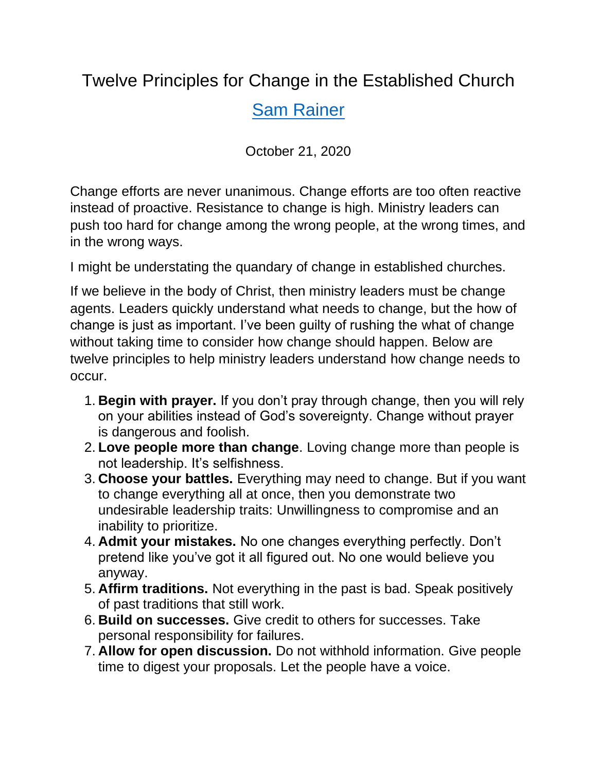## Twelve Principles for Change in the Established Church

## [Sam Rainer](https://churchanswers.com/blog/author/samrainer/)

October 21, 2020

Change efforts are never unanimous. Change efforts are too often reactive instead of proactive. Resistance to change is high. Ministry leaders can push too hard for change among the wrong people, at the wrong times, and in the wrong ways.

I might be understating the quandary of change in established churches.

If we believe in the body of Christ, then ministry leaders must be change agents. Leaders quickly understand what needs to change, but the how of change is just as important. I've been guilty of rushing the what of change without taking time to consider how change should happen. Below are twelve principles to help ministry leaders understand how change needs to occur.

- 1. **Begin with prayer.** If you don't pray through change, then you will rely on your abilities instead of God's sovereignty. Change without prayer is dangerous and foolish.
- 2. **Love people more than change**. Loving change more than people is not leadership. It's selfishness.
- 3. **Choose your battles.** Everything may need to change. But if you want to change everything all at once, then you demonstrate two undesirable leadership traits: Unwillingness to compromise and an inability to prioritize.
- 4. **Admit your mistakes.** No one changes everything perfectly. Don't pretend like you've got it all figured out. No one would believe you anyway.
- 5. **Affirm traditions.** Not everything in the past is bad. Speak positively of past traditions that still work.
- 6. **Build on successes.** Give credit to others for successes. Take personal responsibility for failures.
- 7. **Allow for open discussion.** Do not withhold information. Give people time to digest your proposals. Let the people have a voice.